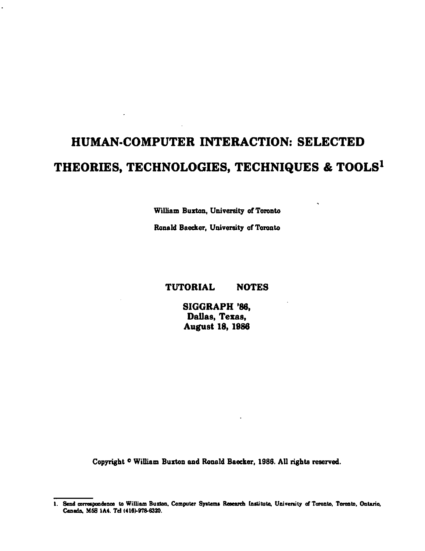## HUMAN-COMPUTER INTERACTION: SELECTED THEORIES, TECHNOLOGIES, TECHNIQUES & TOOLS<sup>1</sup>

William Buxton, University of Toronto

Ronald Baecker, University of Toronto

## **TUTORIAL NOTES**

SIGGRAPH '86. Dallas, Texas, **August 18, 1986** 

Copyright <sup>o</sup> William Buxton and Ronald Baecker, 1986. All rights reserved.

<sup>1.</sup> Send correspondence to William Buxton, Computer Systems Research Institute, University of Toronto, Toronto, Ontario, Canada, M5S 1A4. Tel (416)-978-6320.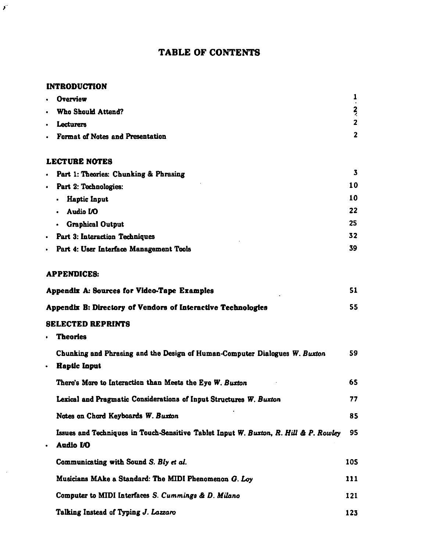## **TABLE OF CONTENTS**

## **INTRODUCTION**

 $\mathbf{y}^{\prime}$ 

 $\mathcal{L}$ 

| $\bullet$                                   | <b>Overview</b>                                                                                   | 1                       |
|---------------------------------------------|---------------------------------------------------------------------------------------------------|-------------------------|
| $\bullet$                                   | Who Should Attend?                                                                                | $\frac{2}{7}$           |
| ٠                                           | Lecturers                                                                                         | $\overline{2}$          |
| $\bullet$                                   | Format of Notes and Presentation                                                                  | $\overline{\mathbf{2}}$ |
|                                             | <b>LECTURE NOTES</b>                                                                              |                         |
| $\bullet$                                   | Part 1: Theories: Chunking & Phrasing                                                             | 3                       |
| $\bullet$                                   | Part 2: Technologies:                                                                             | 10                      |
|                                             | <b>Haptic Input</b>                                                                               | 10                      |
|                                             | Audio I/O                                                                                         | 22                      |
|                                             | <b>Graphical Output</b>                                                                           | 25                      |
| ٠                                           | Part 3: Interaction Techniques                                                                    | 32                      |
|                                             | Part 4: User Interface Management Tools                                                           | 39                      |
|                                             | <b>APPENDICES:</b>                                                                                |                         |
| Appendix A: Sources for Video-Tape Examples |                                                                                                   | 51                      |
|                                             | Appendix B: Directory of Vendors of Interactive Technologies                                      | 55                      |
|                                             | <b>SELECTED REPRINTS</b>                                                                          |                         |
| $\bullet$                                   | <b>Theories</b>                                                                                   |                         |
|                                             | Chunking and Phrasing and the Design of Human-Computer Dialogues W. Buxton                        | 59                      |
| ٠                                           | <b>Haptic Input</b>                                                                               |                         |
|                                             | There's More to Interaction than Meets the Eye W. Buxton                                          | 65                      |
|                                             | Lexical and Pragmatic Considerations of Input Structures W. Buxton                                | 77                      |
|                                             | Notes on Chord Keyboards W. Buxton                                                                | 85                      |
| ٠                                           | Issues and Techniques in Touch-Sensitive Tablet Input W. Buxton, R. Hill & P. Rowley<br>Audio I/O | 95                      |
|                                             | Communicating with Sound S. Bly et al.                                                            | 105                     |
|                                             | Musicians MAke a Standard: The MIDI Phenomenon G. Loy                                             | 111                     |
|                                             | Computer to MIDI Interfaces S. Cummings & D. Milano                                               | 121                     |
|                                             | Talking Instead of Typing J. Lazzaro                                                              | 123                     |